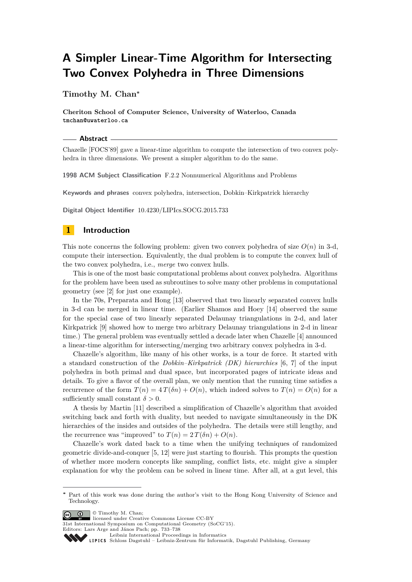# **A Simpler Linear-Time Algorithm for Intersecting Two Convex Polyhedra in Three Dimensions**

## **Timothy M. Chan<sup>∗</sup>**

**Cheriton School of Computer Science, University of Waterloo, Canada tmchan@uwaterloo.ca**

#### **Abstract**

Chazelle [FOCS'89] gave a linear-time algorithm to compute the intersection of two convex polyhedra in three dimensions. We present a simpler algorithm to do the same.

**1998 ACM Subject Classification** F.2.2 Nonnumerical Algorithms and Problems

**Keywords and phrases** convex polyhedra, intersection, Dobkin–Kirkpatrick hierarchy

**Digital Object Identifier** [10.4230/LIPIcs.SOCG.2015.733](http://dx.doi.org/10.4230/LIPIcs.SOCG.2015.733)

## **1 Introduction**

This note concerns the following problem: given two convex polyhedra of size  $O(n)$  in 3-d, compute their intersection. Equivalently, the dual problem is to compute the convex hull of the two convex polyhedra, i.e., *merge* two convex hulls.

This is one of the most basic computational problems about convex polyhedra. Algorithms for the problem have been used as subroutines to solve many other problems in computational geometry (see [\[2\]](#page-4-0) for just one example).

In the 70s, Preparata and Hong [\[13\]](#page-5-0) observed that two linearly separated convex hulls in 3-d can be merged in linear time. (Earlier Shamos and Hoey [\[14\]](#page-5-1) observed the same for the special case of two linearly separated Delaunay triangulations in 2-d, and later Kirkpatrick [\[9\]](#page-4-1) showed how to merge two arbitrary Delaunay triangulations in 2-d in linear time.) The general problem was eventually settled a decade later when Chazelle [\[4\]](#page-4-2) announced a linear-time algorithm for intersecting/merging two arbitrary convex polyhedra in 3-d.

Chazelle's algorithm, like many of his other works, is a tour de force. It started with a standard construction of the *Dobkin–Kirkpatrick (DK) hierarchies* [\[6,](#page-4-3) [7\]](#page-4-4) of the input polyhedra in both primal and dual space, but incorporated pages of intricate ideas and details. To give a flavor of the overall plan, we only mention that the running time satisfies a recurrence of the form  $T(n) = 4T(\delta n) + O(n)$ , which indeed solves to  $T(n) = O(n)$  for a sufficiently small constant  $\delta > 0$ .

A thesis by Martin [\[11\]](#page-5-2) described a simplification of Chazelle's algorithm that avoided switching back and forth with duality, but needed to navigate simultaneously in the DK hierarchies of the insides and outsides of the polyhedra. The details were still lengthy, and the recurrence was "improved" to  $T(n) = 2 T(\delta n) + O(n)$ .

Chazelle's work dated back to a time when the unifying techniques of randomized geometric divide-and-conquer [\[5,](#page-4-5) [12\]](#page-5-3) were just starting to flourish. This prompts the question of whether more modern concepts like sampling, conflict lists, etc. might give a simpler explanation for why the problem can be solved in linear time. After all, at a gut level, this

© Timothy M. Chan;

licensed under Creative Commons License CC-BY

31st International Symposium on Computational Geometry (SoCG'15).

Editors: Lars Arge and János Pach; pp. 733[–738](#page-5-4)

**<sup>∗</sup>** Part of this work was done during the author's visit to the Hong Kong University of Science and Technology.

[Leibniz International Proceedings in Informatics](http://www.dagstuhl.de/lipics/)

Leibniz international Froceedings in missimosischer Magstuhl Publishing, Germany<br>LIPICS [Schloss Dagstuhl – Leibniz-Zentrum für Informatik, Dagstuhl Publishing, Germany](http://www.dagstuhl.de)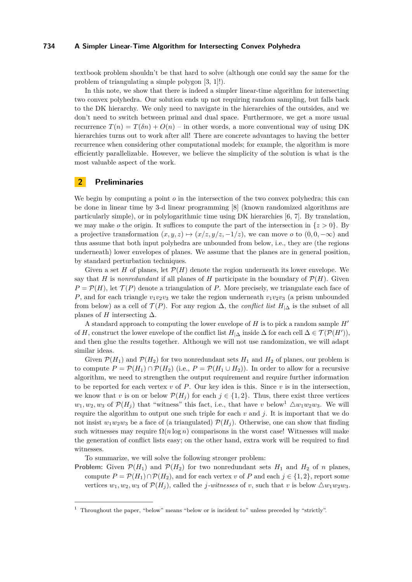#### **734 A Simpler Linear-Time Algorithm for Intersecting Convex Polyhedra**

textbook problem shouldn't be that hard to solve (although one could say the same for the problem of triangulating a simple polygon [\[3,](#page-4-6) [1\]](#page-4-7)!).

In this note, we show that there is indeed a simpler linear-time algorithm for intersecting two convex polyhedra. Our solution ends up not requiring random sampling, but falls back to the DK hierarchy. We only need to navigate in the hierarchies of the outsides, and we don't need to switch between primal and dual space. Furthermore, we get a more usual recurrence  $T(n) = T(\delta n) + O(n)$  – in other words, a more conventional way of using DK hierarchies turns out to work after all! There are concrete advantages to having the better recurrence when considering other computational models; for example, the algorithm is more efficiently parallelizable. However, we believe the simplicity of the solution is what is the most valuable aspect of the work.

# **2 Preliminaries**

We begin by computing a point *o* in the intersection of the two convex polyhedra; this can be done in linear time by 3-d linear programming [\[8\]](#page-4-8) (known randomized algorithms are particularly simple), or in polylogarithmic time using DK hierarchies [\[6,](#page-4-3) [7\]](#page-4-4). By translation, we may make *o* the origin. It suffices to compute the part of the intersection in  $\{z > 0\}$ . By a projective transformation  $(x, y, z) \mapsto (x/z, y/z, -1/z)$ , we can move *o* to  $(0, 0, -\infty)$  and thus assume that both input polyhedra are unbounded from below, i.e., they are (the regions underneath) lower envelopes of planes. We assume that the planes are in general position, by standard perturbation techniques.

Given a set *H* of planes, let  $\mathcal{P}(H)$  denote the region underneath its lower envelope. We say that *H* is *nonredundant* if all planes of *H* participate in the boundary of  $\mathcal{P}(H)$ . Given  $P = \mathcal{P}(H)$ , let  $\mathcal{T}(P)$  denote a triangulation of *P*. More precisely, we triangulate each face of *P*, and for each triangle  $v_1v_2v_3$  we take the region underneath  $v_1v_2v_3$  (a prism unbounded from below) as a cell of  $\mathcal{T}(P)$ . For any region  $\Delta$ , the *conflict list*  $H_{|\Delta}$  is the subset of all planes of *H* intersecting  $\Delta$ .

A standard approach to computing the lower envelope of  $H$  is to pick a random sample  $H'$ of *H*, construct the lower envelope of the conflict list  $H_{\vert\Delta}$  inside  $\Delta$  for each cell  $\Delta \in \mathcal{T}(\mathcal{P}(H'))$ , and then glue the results together. Although we will not use randomization, we will adapt similar ideas.

Given  $\mathcal{P}(H_1)$  and  $\mathcal{P}(H_2)$  for two nonredundant sets  $H_1$  and  $H_2$  of planes, our problem is to compute  $P = \mathcal{P}(H_1) \cap \mathcal{P}(H_2)$  (i.e.,  $P = \mathcal{P}(H_1 \cup H_2)$ ). In order to allow for a recursive algorithm, we need to strengthen the output requirement and require further information to be reported for each vertex  $v$  of  $P$ . Our key idea is this. Since  $v$  is in the intersection, we know that *v* is on or below  $\mathcal{P}(H_i)$  for each  $j \in \{1,2\}$ . Thus, there exist three vertices  $w_1, w_2, w_3$  $w_1, w_2, w_3$  $w_1, w_2, w_3$  of  $\mathcal{P}(H_i)$  that "witness" this fact, i.e., that have *v* below<sup>1</sup>  $\triangle w_1w_2w_3$ . We will require the algorithm to output one such triple for each  $v$  and  $j$ . It is important that we do not insist  $w_1w_2w_3$  be a face of (a triangulated)  $\mathcal{P}(H_i)$ . Otherwise, one can show that finding such witnesses may require  $\Omega(n \log n)$  comparisons in the worst case! Witnesses will make the generation of conflict lists easy; on the other hand, extra work will be required to find witnesses.

To summarize, we will solve the following stronger problem:

**Problem:** Given  $\mathcal{P}(H_1)$  and  $\mathcal{P}(H_2)$  for two nonredundant sets  $H_1$  and  $H_2$  of *n* planes, compute  $P = \mathcal{P}(H_1) \cap \mathcal{P}(H_2)$ , and for each vertex *v* of *P* and each  $j \in \{1, 2\}$ , report some vertices  $w_1, w_2, w_3$  of  $\mathcal{P}(H_i)$ , called the *j-witnesses* of *v*, such that *v* is below  $\triangle w_1 w_2 w_3$ .

<span id="page-1-0"></span> $<sup>1</sup>$  Throughout the paper, "below" means "below or is incident to" unless preceded by "strictly".</sup>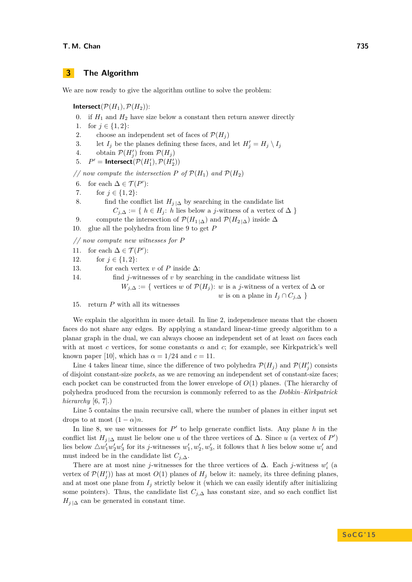#### **T. M. Chan 735**

## **3 The Algorithm**

We are now ready to give the algorithm outline to solve the problem:

**Intersect**( $\mathcal{P}(H_1)$ ,  $\mathcal{P}(H_2)$ ):

- 0. if  $H_1$  and  $H_2$  have size below a constant then return answer directly
- 1. for  $j \in \{1, 2\}$ :
- 2. choose an independent set of faces of  $\mathcal{P}(H_i)$
- 3. let  $I_j$  be the planes defining these faces, and let  $H'_j = H_j \setminus I_j$
- 4. obtain  $\mathcal{P}(H'_j)$  from  $\mathcal{P}(H_j)$
- 5.  $P' =$  **Intersect** $(\mathcal{P}(H'_1), \mathcal{P}(H'_2))$

// now compute the intersection P of  $\mathcal{P}(H_1)$  and  $\mathcal{P}(H_2)$ 

- 6. for each  $\Delta \in \mathcal{T}(P')$ :
- 7. for  $j \in \{1, 2\}$ :
- 8. find the conflict list  $H_{i|\Delta}$  by searching in the candidate list  $C_{i,\Delta} := \{ h \in H_i : h \text{ lies below a } j\text{-witness of a vertex of } \Delta \}$
- 9. compute the intersection of  $\mathcal{P}(H_{1|\Delta})$  and  $\mathcal{P}(H_{2|\Delta})$  inside  $\Delta$
- 10. glue all the polyhedra from line 9 to get *P*

*// now compute new witnesses for P*

- 11. for each  $\Delta \in \mathcal{T}(P')$ :
- 12. for  $j \in \{1, 2\}$ :
- 13. for each vertex *v* of *P* inside  $\Delta$ :

14. find *j*-witnesses of *v* by searching in the candidate witness list

- $W_{j,\Delta} := \{$  vertices *w* of  $\mathcal{P}(H_j)$ : *w* is a *j*-witness of a vertex of  $\Delta$  or *w* is on a plane in  $I_j \cap C_{j,\Delta}$
- 15. return *P* with all its witnesses

We explain the algorithm in more detail. In line 2, independence means that the chosen faces do not share any edges. By applying a standard linear-time greedy algorithm to a planar graph in the dual, we can always choose an independent set of at least *αn* faces each with at most *c* vertices, for some constants  $\alpha$  and  $c$ ; for example, see Kirkpatrick's well known paper [\[10\]](#page-5-5), which has  $\alpha = 1/24$  and  $c = 11$ .

Line 4 takes linear time, since the difference of two polyhedra  $\mathcal{P}(H_j)$  and  $\mathcal{P}(H'_j)$  consists of disjoint constant-size *pockets*, as we are removing an independent set of constant-size faces; each pocket can be constructed from the lower envelope of  $O(1)$  planes. (The hierarchy of polyhedra produced from the recursion is commonly referred to as the *Dobkin–Kirkpatrick hierarchy* [\[6,](#page-4-3) [7\]](#page-4-4).)

Line 5 contains the main recursive call, where the number of planes in either input set drops to at most  $(1 - \alpha)n$ .

In line 8, we use witnesses for  $P'$  to help generate conflict lists. Any plane  $h$  in the conflict list  $H_j \upharpoonright \Delta$  must lie below one *u* of the three vertices of  $\Delta$ . Since *u* (a vertex of *P*<sup>*'*</sup>) lies below  $\triangle w_1' w_2' w_3'$  for its *j*-witnesses  $w_1', w_2', w_3'$ , it follows that *h* lies below some  $w_i'$  and must indeed be in the candidate list  $C_{j,\Delta}$ .

There are at most nine *j*-witnesses for the three vertices of  $\Delta$ . Each *j*-witness  $w_i'$  (a vertex of  $\mathcal{P}(H'_j)$  has at most  $O(1)$  planes of  $H_j$  below it: namely, its three defining planes, and at most one plane from  $I_i$  strictly below it (which we can easily identify after initializing some pointers). Thus, the candidate list  $C_{j,\Delta}$  has constant size, and so each conflict list  $H_{j|\Delta}$  can be generated in constant time.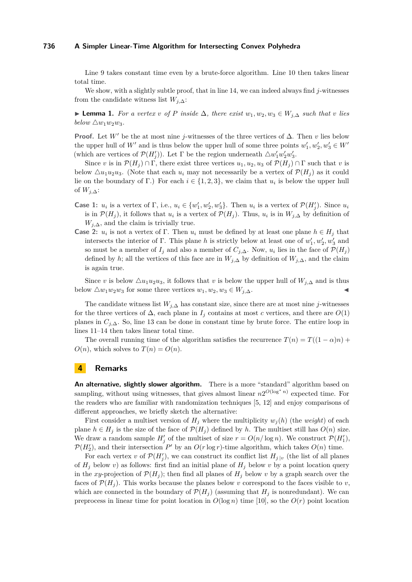#### **736 A Simpler Linear-Time Algorithm for Intersecting Convex Polyhedra**

Line 9 takes constant time even by a brute-force algorithm. Line 10 then takes linear total time.

We show, with a slightly subtle proof, that in line 14, we can indeed always find  $j$ -witnesses from the candidate witness list *Wj,*∆:

► **Lemma 1.** *For a vertex v of P inside*  $\Delta$ *, there exist*  $w_1, w_2, w_3 \in W_{i,\Delta}$  *such that v lies below*  $\triangle w_1w_2w_3$ *.* 

**Proof.** Let *W'* be the at most nine *j*-witnesses of the three vertices of  $\Delta$ . Then *v* lies below the upper hull of *W'* and is thus below the upper hull of some three points  $w'_1, w'_2, w'_3 \in W'$ (which are vertices of  $\mathcal{P}(H'_j)$ ). Let  $\Gamma$  be the region underneath  $\triangle w'_1w'_2w'_3$ .

Since *v* is in  $\mathcal{P}(H_i) \cap \Gamma$ , there exist three vertices  $u_1, u_2, u_3$  of  $\mathcal{P}(H_i) \cap \Gamma$  such that *v* is below  $\Delta u_1 u_2 u_3$ . (Note that each  $u_i$  may not necessarily be a vertex of  $\mathcal{P}(H_i)$  as it could lie on the boundary of Γ.) For each  $i \in \{1, 2, 3\}$ , we claim that  $u_i$  is below the upper hull of *Wj,*∆:

- **Case 1:**  $u_i$  is a vertex of  $\Gamma$ , i.e.,  $u_i \in \{w'_1, w'_2, w'_3\}$ . Then  $u_i$  is a vertex of  $\mathcal{P}(H'_j)$ . Since  $u_i$ is in  $\mathcal{P}(H_j)$ , it follows that  $u_i$  is a vertex of  $\mathcal{P}(H_j)$ . Thus,  $u_i$  is in  $W_{j,\Delta}$  by definition of  $W_{j,\Delta}$ , and the claim is trivially true.
- **Case 2:**  $u_i$  is not a vertex of Γ. Then  $u_i$  must be defined by at least one plane  $h \in H_j$  that intersects the interior of Γ. This plane *h* is strictly below at least one of  $w'_1, w'_2, w'_3$  and so must be a member of  $I_j$  and also a member of  $C_{j,\Delta}$ . Now,  $u_i$  lies in the face of  $\mathcal{P}(H_j)$ defined by *h*; all the vertices of this face are in  $W_{j,\Delta}$  by definition of  $W_{j,\Delta}$ , and the claim is again true.

Since *v* is below  $\Delta u_1 u_2 u_3$ , it follows that *v* is below the upper hull of  $W_{i,\Delta}$  and is thus below  $\triangle w_1w_2w_3$  for some three vertices  $w_1, w_2, w_3 \in W_{j,\Delta}$ .

The candidate witness list  $W_{i,\Delta}$  has constant size, since there are at most nine *j*-witnesses for the three vertices of  $\Delta$ , each plane in  $I_j$  contains at most *c* vertices, and there are  $O(1)$ planes in  $C_{i,\Delta}$ . So, line 13 can be done in constant time by brute force. The entire loop in lines 11–14 then takes linear total time.

The overall running time of the algorithm satisfies the recurrence  $T(n) = T((1 - \alpha)n) +$  $O(n)$ , which solves to  $T(n) = O(n)$ .

## **4 Remarks**

**An alternative, slightly slower algorithm.** There is a more "standard" algorithm based on sampling, without using witnesses, that gives almost linear  $n2^{O(\log^* n)}$  expected time. For the readers who are familiar with randomization techniques [\[5,](#page-4-5) [12\]](#page-5-3) and enjoy comparisons of different approaches, we briefly sketch the alternative:

First consider a multiset version of  $H_i$  where the multiplicity  $w_i(h)$  (the *weight*) of each plane  $h \in H_i$  is the size of the face of  $\mathcal{P}(H_i)$  defined by *h*. The multiset still has  $O(n)$  size. We draw a random sample  $H'_{j}$  of the multiset of size  $r = O(n/\log n)$ . We construct  $P(H'_{1})$ ,  $\mathcal{P}(H_2')$ , and their intersection  $P'$  by an  $O(r \log r)$ -time algorithm, which takes  $O(n)$  time.

For each vertex *v* of  $\mathcal{P}(H'_j)$ , we can construct its conflict list  $H_j|_v$  (the list of all planes of  $H_j$  below *v*) as follows: first find an initial plane of  $H_j$  below *v* by a point location query in the *xy*-projection of  $\mathcal{P}(H_j)$ ; then find all planes of  $H_j$  below *v* by a graph search over the faces of  $\mathcal{P}(H_i)$ . This works because the planes below *v* correspond to the faces visible to *v*, which are connected in the boundary of  $\mathcal{P}(H_j)$  (assuming that  $H_j$  is nonredundant). We can preprocess in linear time for point location in  $O(\log n)$  time [\[10\]](#page-5-5), so the  $O(r)$  point location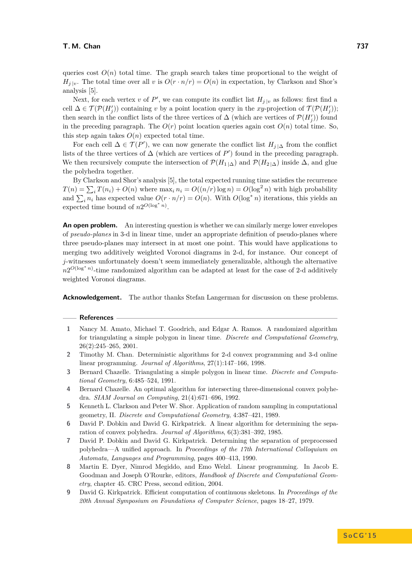queries cost  $O(n)$  total time. The graph search takes time proportional to the weight of  $H_j|_{v}$ . The total time over all *v* is  $O(r \cdot n/r) = O(n)$  in expectation, by Clarkson and Shor's analysis [\[5\]](#page-4-5).

Next, for each vertex *v* of  $P'$ , we can compute its conflict list  $H_{j}|_v$  as follows: first find a cell  $\Delta \in \mathcal{T}(\mathcal{P}(H'_j))$  containing *v* by a point location query in the *xy*-projection of  $\mathcal{T}(\mathcal{P}(H'_j))$ ; then search in the conflict lists of the three vertices of  $\Delta$  (which are vertices of  $\mathcal{P}(H'_j)$ ) found in the preceding paragraph. The  $O(r)$  point location queries again cost  $O(n)$  total time. So, this step again takes  $O(n)$  expected total time.

For each cell  $\Delta \in \mathcal{T}(P')$ , we can now generate the conflict list  $H_{j|\Delta}$  from the conflict lists of the three vertices of  $\Delta$  (which are vertices of  $P'$ ) found in the preceding paragraph. We then recursively compute the intersection of  $\mathcal{P}(H_{1|\Delta})$  and  $\mathcal{P}(H_{2|\Delta})$  inside  $\Delta$ , and glue the polyhedra together.

By Clarkson and Shor's analysis [\[5\]](#page-4-5), the total expected running time satisfies the recurrence  $T(n) = \sum_i T(n_i) + O(n)$  where  $\max_i n_i = O((n/r) \log n) = O(\log^2 n)$  with high probability and  $\sum_i n_i$  has expected value  $O(r \cdot n/r) = O(n)$ . With  $O(\log^* n)$  iterations, this yields an expected time bound of  $n2^{O(\log^* n)}$ .

**An open problem.** An interesting question is whether we can similarly merge lower envelopes of *pseudo-planes* in 3-d in linear time, under an appropriate definition of pseudo-planes where three pseudo-planes may intersect in at most one point. This would have applications to merging two additively weighted Voronoi diagrams in 2-d, for instance. Our concept of *j*-witnesses unfortunately doesn't seem immediately generalizable, although the alternative *n*<sup>20(log<sup>\*</sup> *n*)-time randomized algorithm can be adapted at least for the case of 2-d additively</sup> weighted Voronoi diagrams.

**Acknowledgement.** The author thanks Stefan Langerman for discussion on these problems.

#### **References**

- <span id="page-4-7"></span>**1** Nancy M. Amato, Michael T. Goodrich, and Edgar A. Ramos. A randomized algorithm for triangulating a simple polygon in linear time. *Discrete and Computational Geometry*, 26(2):245–265, 2001.
- <span id="page-4-0"></span>**2** Timothy M. Chan. Deterministic algorithms for 2-d convex programming and 3-d online linear programming. *Journal of Algorithms*, 27(1):147–166, 1998.
- <span id="page-4-6"></span>**3** Bernard Chazelle. Triangulating a simple polygon in linear time. *Discrete and Computational Geometry*, 6:485–524, 1991.
- <span id="page-4-2"></span>**4** Bernard Chazelle. An optimal algorithm for intersecting three-dimensional convex polyhedra. *SIAM Journal on Computing*, 21(4):671–696, 1992.
- <span id="page-4-5"></span>**5** Kenneth L. Clarkson and Peter W. Shor. Application of random sampling in computational geometry, II. *Discrete and Computational Geometry*, 4:387–421, 1989.
- <span id="page-4-3"></span>**6** David P. Dobkin and David G. Kirkpatrick. A linear algorithm for determining the separation of convex polyhedra. *Journal of Algorithms*, 6(3):381–392, 1985.
- <span id="page-4-4"></span>**7** David P. Dobkin and David G. Kirkpatrick. Determining the separation of preprocessed polyhedra—A unified approach. In *Proceedings of the 17th International Colloquium on Automata, Languages and Programming*, pages 400–413, 1990.
- <span id="page-4-8"></span>**8** Martin E. Dyer, Nimrod Megiddo, and Emo Welzl. Linear programming. In Jacob E. Goodman and Joseph O'Rourke, editors, *Handbook of Discrete and Computational Geometry*, chapter 45. CRC Press, second edition, 2004.
- <span id="page-4-1"></span>**9** David G. Kirkpatrick. Efficient computation of continuous skeletons. In *Proceedings of the 20th Annual Symposium on Foundations of Computer Science*, pages 18–27, 1979.